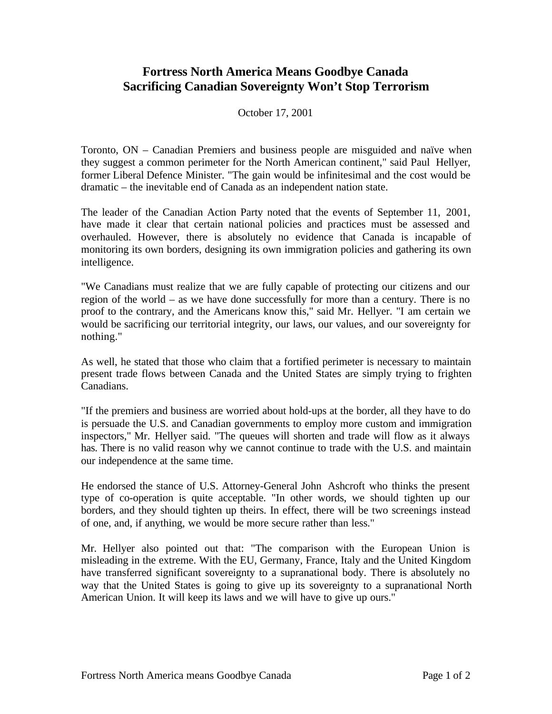## **Fortress North America Means Goodbye Canada Sacrificing Canadian Sovereignty Won't Stop Terrorism**

October 17, 2001

Toronto, ON – Canadian Premiers and business people are misguided and naïve when they suggest a common perimeter for the North American continent," said Paul Hellyer, former Liberal Defence Minister. "The gain would be infinitesimal and the cost would be dramatic – the inevitable end of Canada as an independent nation state.

The leader of the Canadian Action Party noted that the events of September 11, 2001, have made it clear that certain national policies and practices must be assessed and overhauled. However, there is absolutely no evidence that Canada is incapable of monitoring its own borders, designing its own immigration policies and gathering its own intelligence.

"We Canadians must realize that we are fully capable of protecting our citizens and our region of the world – as we have done successfully for more than a century. There is no proof to the contrary, and the Americans know this," said Mr. Hellyer. "I am certain we would be sacrificing our territorial integrity, our laws, our values, and our sovereignty for nothing."

As well, he stated that those who claim that a fortified perimeter is necessary to maintain present trade flows between Canada and the United States are simply trying to frighten Canadians.

"If the premiers and business are worried about hold-ups at the border, all they have to do is persuade the U.S. and Canadian governments to employ more custom and immigration inspectors," Mr. Hellyer said. "The queues will shorten and trade will flow as it always has. There is no valid reason why we cannot continue to trade with the U.S. and maintain our independence at the same time.

He endorsed the stance of U.S. Attorney-General John Ashcroft who thinks the present type of co-operation is quite acceptable. "In other words, we should tighten up our borders, and they should tighten up theirs. In effect, there will be two screenings instead of one, and, if anything, we would be more secure rather than less."

Mr. Hellyer also pointed out that: "The comparison with the European Union is misleading in the extreme. With the EU, Germany, France, Italy and the United Kingdom have transferred significant sovereignty to a supranational body. There is absolutely no way that the United States is going to give up its sovereignty to a supranational North American Union. It will keep its laws and we will have to give up ours."